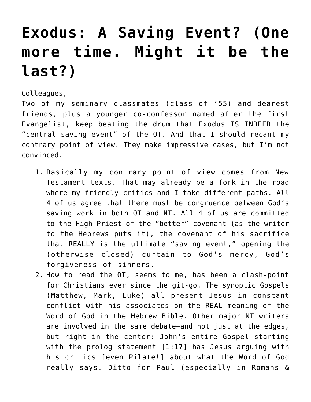## **[Exodus: A Saving Event? \(One](https://crossings.org/exodus-a-saving-event-one-more-time-might-it-be-the-last/) [more time. Might it be the](https://crossings.org/exodus-a-saving-event-one-more-time-might-it-be-the-last/) [last?\)](https://crossings.org/exodus-a-saving-event-one-more-time-might-it-be-the-last/)**

Colleagues,

Two of my seminary classmates (class of '55) and dearest friends, plus a younger co-confessor named after the first Evangelist, keep beating the drum that Exodus IS INDEED the "central saving event" of the OT. And that I should recant my contrary point of view. They make impressive cases, but I'm not convinced.

- 1. Basically my contrary point of view comes from New Testament texts. That may already be a fork in the road where my friendly critics and I take different paths. All 4 of us agree that there must be congruence between God's saving work in both OT and NT. All 4 of us are committed to the High Priest of the "better" covenant (as the writer to the Hebrews puts it), the covenant of his sacrifice that REALLY is the ultimate "saving event," opening the (otherwise closed) curtain to God's mercy, God's forgiveness of sinners.
- 2. How to read the OT, seems to me, has been a clash-point for Christians ever since the git-go. The synoptic Gospels (Matthew, Mark, Luke) all present Jesus in constant conflict with his associates on the REAL meaning of the Word of God in the Hebrew Bible. Other major NT writers are involved in the same debate–and not just at the edges, but right in the center: John's entire Gospel starting with the prolog statement [1:17] has Jesus arguing with his critics [even Pilate!] about what the Word of God really says. Ditto for Paul (especially in Romans &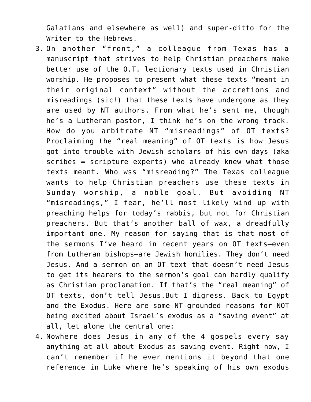Galatians and elsewhere as well) and super-ditto for the Writer to the Hebrews.

- 3. On another "front," a colleague from Texas has a manuscript that strives to help Christian preachers make better use of the O.T. lectionary texts used in Christian worship. He proposes to present what these texts "meant in their original context" without the accretions and misreadings (sic!) that these texts have undergone as they are used by NT authors. From what he's sent me, though he's a Lutheran pastor, I think he's on the wrong track. How do you arbitrate NT "misreadings" of OT texts? Proclaiming the "real meaning" of OT texts is how Jesus got into trouble with Jewish scholars of his own days (aka scribes = scripture experts) who already knew what those texts meant. Who wss "misreading?" The Texas colleague wants to help Christian preachers use these texts in Sunday worship, a noble goal. But avoiding NT "misreadings," I fear, he'll most likely wind up with preaching helps for today's rabbis, but not for Christian preachers. But that's another ball of wax, a dreadfully important one. My reason for saying that is that most of the sermons I've heard in recent years on OT texts–even from Lutheran bishops–are Jewish homilies. They don't need Jesus. And a sermon on an OT text that doesn't need Jesus to get its hearers to the sermon's goal can hardly qualify as Christian proclamation. If that's the "real meaning" of OT texts, don't tell Jesus.But I digress. Back to Egypt and the Exodus. Here are some NT-grounded reasons for NOT being excited about Israel's exodus as a "saving event" at all, let alone the central one:
- 4. Nowhere does Jesus in any of the 4 gospels every say anything at all about Exodus as saving event. Right now, I can't remember if he ever mentions it beyond that one reference in Luke where he's speaking of his own exodus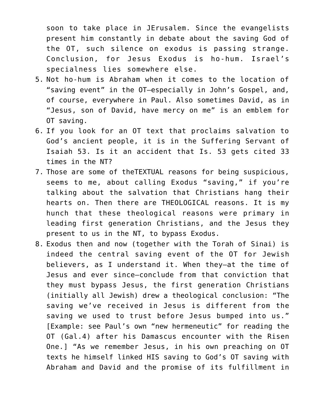soon to take place in JErusalem. Since the evangelists present him constantly in debate about the saving God of the OT, such silence on exodus is passing strange. Conclusion, for Jesus Exodus is ho-hum. Israel's specialness lies somewhere else.

- 5. Not ho-hum is Abraham when it comes to the location of "saving event" in the OT–especially in John's Gospel, and, of course, everywhere in Paul. Also sometimes David, as in "Jesus, son of David, have mercy on me" is an emblem for OT saving.
- 6. If you look for an OT text that proclaims salvation to God's ancient people, it is in the Suffering Servant of Isaiah 53. Is it an accident that Is. 53 gets cited 33 times in the NT?
- 7. Those are some of theTEXTUAL reasons for being suspicious, seems to me, about calling Exodus "saving," if you're talking about the salvation that Christians hang their hearts on. Then there are THEOLOGICAL reasons. It is my hunch that these theological reasons were primary in leading first generation Christians, and the Jesus they present to us in the NT, to bypass Exodus.
- 8. Exodus then and now (together with the Torah of Sinai) is indeed the central saving event of the OT for Jewish believers, as I understand it. When they–at the time of Jesus and ever since–conclude from that conviction that they must bypass Jesus, the first generation Christians (initially all Jewish) drew a theological conclusion: "The saving we've received in Jesus is different from the saving we used to trust before Jesus bumped into us." [Example: see Paul's own "new hermeneutic" for reading the OT (Gal.4) after his Damascus encounter with the Risen One.] "As we remember Jesus, in his own preaching on OT texts he himself linked HIS saving to God's OT saving with Abraham and David and the promise of its fulfillment in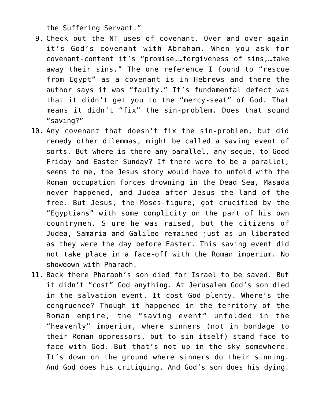the Suffering Servant."

- 9. Check out the NT uses of covenant. Over and over again it's God's covenant with Abraham. When you ask for covenant-content it's "promise,…forgiveness of sins,…take away their sins." The one reference I found to "rescue from Egypt" as a covenant is in Hebrews and there the author says it was "faulty." It's fundamental defect was that it didn't get you to the "mercy-seat" of God. That means it didn't "fix" the sin-problem. Does that sound "saving?"
- 10. Any covenant that doesn't fix the sin-problem, but did remedy other dilemmas, might be called a saving event of sorts. But where is there any parallel, any segue, to Good Friday and Easter Sunday? If there were to be a parallel, seems to me, the Jesus story would have to unfold with the Roman occupation forces drowning in the Dead Sea, Masada never happened, and Judea after Jesus the land of the free. But Jesus, the Moses-figure, got crucified by the "Egyptians" with some complicity on the part of his own countrymen. S ure he was raised, but the citizens of Judea, Samaria and Galilee remained just as un-liberated as they were the day before Easter. This saving event did not take place in a face-off with the Roman imperium. No showdown with Pharaoh.
- 11. Back there Pharaoh's son died for Israel to be saved. But it didn't "cost" God anything. At Jerusalem God's son died in the salvation event. It cost God plenty. Where's the congruence? Though it happened in the territory of the Roman empire, the "saving event" unfolded in the "heavenly" imperium, where sinners (not in bondage to their Roman oppressors, but to sin itself) stand face to face with God. But that's not up in the sky somewhere. It's down on the ground where sinners do their sinning. And God does his critiquing. And God's son does his dying.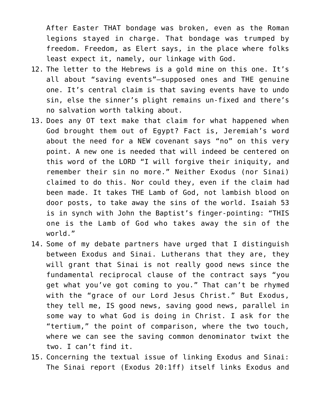After Easter THAT bondage was broken, even as the Roman legions stayed in charge. That bondage was trumped by freedom. Freedom, as Elert says, in the place where folks least expect it, namely, our linkage with God.

- 12. The letter to the Hebrews is a gold mine on this one. It's all about "saving events"–supposed ones and THE genuine one. It's central claim is that saving events have to undo sin, else the sinner's plight remains un-fixed and there's no salvation worth talking about.
- 13. Does any OT text make that claim for what happened when God brought them out of Egypt? Fact is, Jeremiah's word about the need for a NEW covenant says "no" on this very point. A new one is needed that will indeed be centered on this word of the LORD "I will forgive their iniquity, and remember their sin no more." Neither Exodus (nor Sinai) claimed to do this. Nor could they, even if the claim had been made. It takes THE Lamb of God, not lambish blood on door posts, to take away the sins of the world. Isaiah 53 is in synch with John the Baptist's finger-pointing: "THIS one is the Lamb of God who takes away the sin of the world."
- 14. Some of my debate partners have urged that I distinguish between Exodus and Sinai. Lutherans that they are, they will grant that Sinai is not really good news since the fundamental reciprocal clause of the contract says "you get what you've got coming to you." That can't be rhymed with the "grace of our Lord Jesus Christ." But Exodus, they tell me, IS good news, saving good news, parallel in some way to what God is doing in Christ. I ask for the "tertium," the point of comparison, where the two touch, where we can see the saving common denominator twixt the two. I can't find it.
- 15. Concerning the textual issue of linking Exodus and Sinai: The Sinai report (Exodus 20:1ff) itself links Exodus and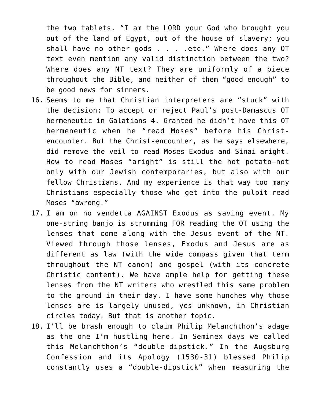the two tablets. "I am the LORD your God who brought you out of the land of Egypt, out of the house of slavery; you shall have no other gods . . . .etc." Where does any OT text even mention any valid distinction between the two? Where does any NT text? They are uniformly of a piece throughout the Bible, and neither of them "good enough" to be good news for sinners.

- 16. Seems to me that Christian interpreters are "stuck" with the decision: To accept or reject Paul's post-Damascus OT hermeneutic in Galatians 4. Granted he didn't have this OT hermeneutic when he "read Moses" before his Christencounter. But the Christ-encounter, as he says elsewhere, did remove the veil to read Moses–Exodus and Sinai–aright. How to read Moses "aright" is still the hot potato–not only with our Jewish contemporaries, but also with our fellow Christians. And my experience is that way too many Christians–especially those who get into the pulpit–read Moses "awrong."
- 17. I am on no vendetta AGAINST Exodus as saving event. My one-string banjo is strumming FOR reading the OT using the lenses that come along with the Jesus event of the NT. Viewed through those lenses, Exodus and Jesus are as different as law (with the wide compass given that term throughout the NT canon) and gospel (with its concrete Christic content). We have ample help for getting these lenses from the NT writers who wrestled this same problem to the ground in their day. I have some hunches why those lenses are is largely unused, yes unknown, in Christian circles today. But that is another topic.
- 18. I'll be brash enough to claim Philip Melanchthon's adage as the one I'm hustling here. In Seminex days we called this Melanchthon's "double-dipstick." In the Augsburg Confession and its Apology (1530-31) blessed Philip constantly uses a "double-dipstick" when measuring the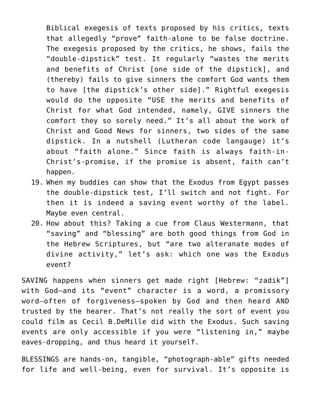Biblical exegesis of texts proposed by his critics, texts that allegedly "prove" faith-alone to be false doctrine. The exegesis proposed by the critics, he shows, fails the "double-dipstick" test. It regularly "wastes the merits and benefits of Christ [one side of the dipstick], and (thereby) fails to give sinners the comfort God wants them to have [the dipstick's other side]." Rightful exegesis would do the opposite "USE the merits and benefits of Christ for what God intended, namely, GIVE sinners the comfort they so sorely need." It's all about the work of Christ and Good News for sinners, two sides of the same dipstick. In a nutshell (Lutheran code langauge) it's about "faith alone." Since faith is always faith-in-Christ's-promise, if the promise is absent, faith can't happen.

- 19. When my buddies can show that the Exodus from Egypt passes the double-dipstick test, I'll switch and not fight. For then it is indeed a saving event worthy of the label. Maybe even central.
- 20. How about this? Taking a cue from Claus Westermann, that "saving" and "blessing" are both good things from God in the Hebrew Scriptures, but "are two alteranate modes of divine activity," let's ask: which one was the Exodus event?

SAVING happens when sinners get made right [Hebrew: "zadik"] with God–and its "event" character is a word, a promissory word–often of forgiveness–spoken by God and then heard AND trusted by the hearer. That's not really the sort of event you could film as Cecil B.DeMille did with the Exodus. Such saving events are only accessible if you were "listening in," maybe eaves-dropping, and thus heard it yourself.

BLESSINGS are hands-on, tangible, "photograph-able" gifts needed for life and well-being, even for survival. It's opposite is